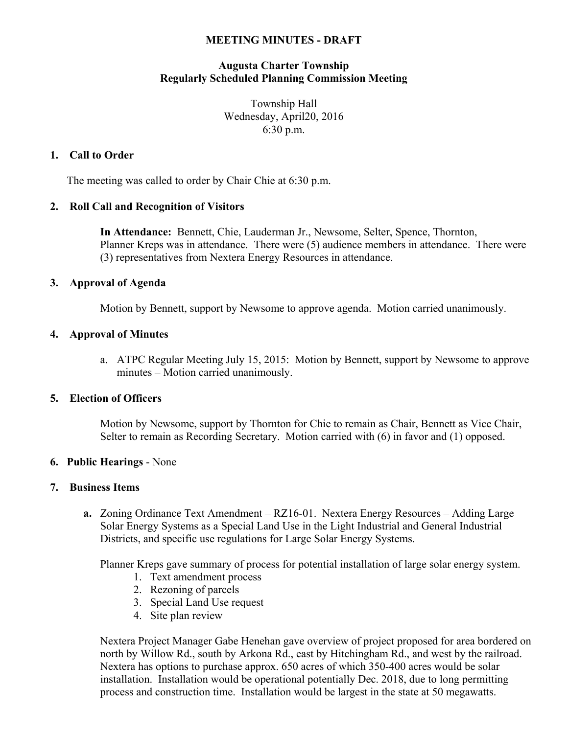### **MEETING MINUTES - DRAFT**

# **Augusta Charter Township Regularly Scheduled Planning Commission Meeting**

Township Hall Wednesday, April20, 2016 6:30 p.m.

# **1. Call to Order**

The meeting was called to order by Chair Chie at 6:30 p.m.

## **2. Roll Call and Recognition of Visitors**

**In Attendance:** Bennett, Chie, Lauderman Jr., Newsome, Selter, Spence, Thornton, Planner Kreps was in attendance. There were (5) audience members in attendance. There were (3) representatives from Nextera Energy Resources in attendance.

## **3. Approval of Agenda**

Motion by Bennett, support by Newsome to approve agenda. Motion carried unanimously.

## **4. Approval of Minutes**

a. ATPC Regular Meeting July 15, 2015: Motion by Bennett, support by Newsome to approve minutes – Motion carried unanimously.

### **5. Election of Officers**

Motion by Newsome, support by Thornton for Chie to remain as Chair, Bennett as Vice Chair, Selter to remain as Recording Secretary. Motion carried with (6) in favor and (1) opposed.

#### **6. Public Hearings** - None

#### **7. Business Items**

**a.** Zoning Ordinance Text Amendment – RZ16-01. Nextera Energy Resources – Adding Large Solar Energy Systems as a Special Land Use in the Light Industrial and General Industrial Districts, and specific use regulations for Large Solar Energy Systems.

Planner Kreps gave summary of process for potential installation of large solar energy system.

- 1. Text amendment process
- 2. Rezoning of parcels
- 3. Special Land Use request
- 4. Site plan review

Nextera Project Manager Gabe Henehan gave overview of project proposed for area bordered on north by Willow Rd., south by Arkona Rd., east by Hitchingham Rd., and west by the railroad. Nextera has options to purchase approx. 650 acres of which 350-400 acres would be solar installation. Installation would be operational potentially Dec. 2018, due to long permitting process and construction time. Installation would be largest in the state at 50 megawatts.